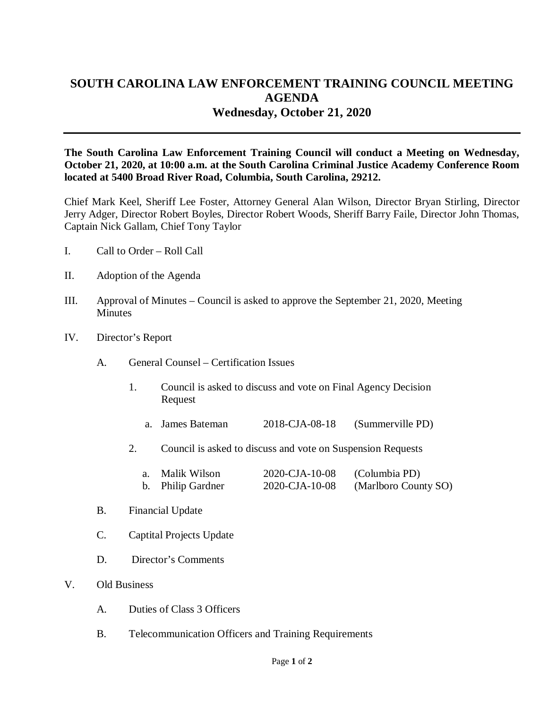## **SOUTH CAROLINA LAW ENFORCEMENT TRAINING COUNCIL MEETING AGENDA Wednesday, October 21, 2020**

**The South Carolina Law Enforcement Training Council will conduct a Meeting on Wednesday, October 21, 2020, at 10:00 a.m. at the South Carolina Criminal Justice Academy Conference Room located at 5400 Broad River Road, Columbia, South Carolina, 29212.** 

Chief Mark Keel, Sheriff Lee Foster, Attorney General Alan Wilson, Director Bryan Stirling, Director Jerry Adger, Director Robert Boyles, Director Robert Woods, Sheriff Barry Faile, Director John Thomas, Captain Nick Gallam, Chief Tony Taylor

- I. Call to Order Roll Call
- II. Adoption of the Agenda
- III. Approval of Minutes Council is asked to approve the September 21, 2020, Meeting **Minutes**
- IV. Director's Report
	- A. General Counsel Certification Issues
		- 1. Council is asked to discuss and vote on Final Agency Decision Request
			- a. James Bateman 2018-CJA-08-18 (Summerville PD)
		- 2. Council is asked to discuss and vote on Suspension Requests

| a. Malik Wilson   | 2020-CJA-10-08 | (Columbia PD)        |
|-------------------|----------------|----------------------|
| b. Philip Gardner | 2020-CJA-10-08 | (Marlboro County SO) |

- B. Financial Update
- C. Captital Projects Update
- D. Director's Comments

## V. Old Business

- A. Duties of Class 3 Officers
- B. Telecommunication Officers and Training Requirements